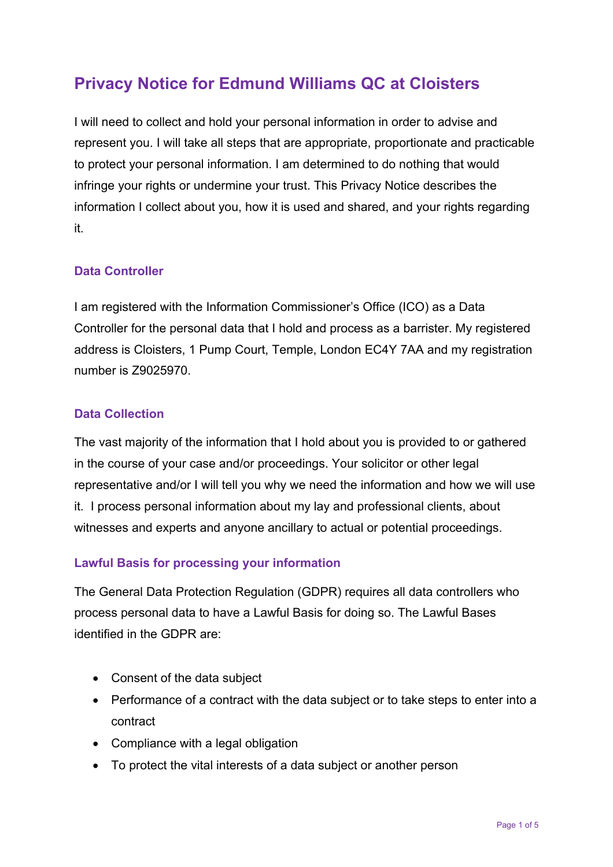# **Privacy Notice for Edmund Williams QC at Cloisters**

I will need to collect and hold your personal information in order to advise and represent you. I will take all steps that are appropriate, proportionate and practicable to protect your personal information. I am determined to do nothing that would infringe your rights or undermine your trust. This Privacy Notice describes the information I collect about you, how it is used and shared, and your rights regarding it.

## **Data Controller**

I am registered with the Information Commissioner's Office (ICO) as a Data Controller for the personal data that I hold and process as a barrister. My registered address is Cloisters, 1 Pump Court, Temple, London EC4Y 7AA and my registration number is Z9025970.

#### **Data Collection**

The vast majority of the information that I hold about you is provided to or gathered in the course of your case and/or proceedings. Your solicitor or other legal representative and/or I will tell you why we need the information and how we will use it. I process personal information about my lay and professional clients, about witnesses and experts and anyone ancillary to actual or potential proceedings.

## **Lawful Basis for processing your information**

The General Data Protection Regulation (GDPR) requires all data controllers who process personal data to have a Lawful Basis for doing so. The Lawful Bases identified in the GDPR are:

- Consent of the data subject
- Performance of a contract with the data subject or to take steps to enter into a contract
- Compliance with a legal obligation
- To protect the vital interests of a data subject or another person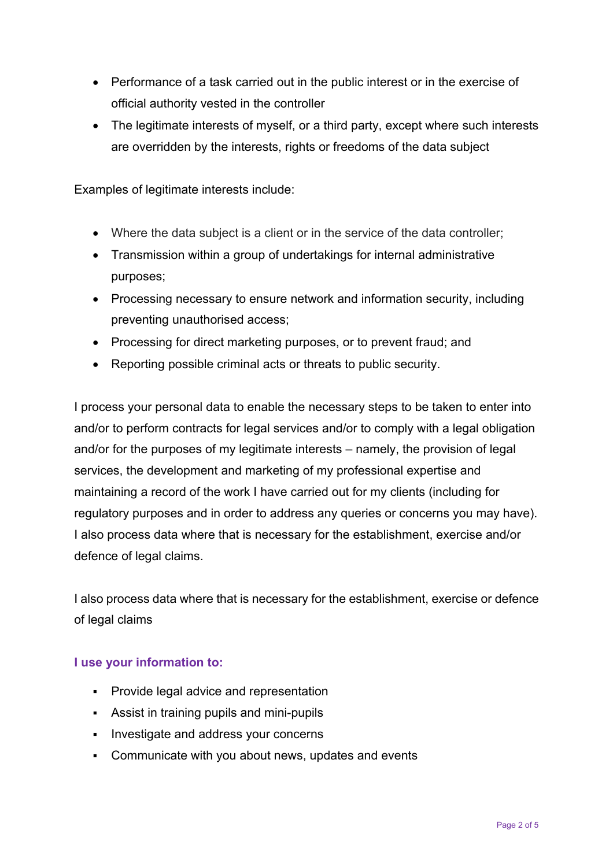- Performance of a task carried out in the public interest or in the exercise of official authority vested in the controller
- The legitimate interests of myself, or a third party, except where such interests are overridden by the interests, rights or freedoms of the data subject

Examples of legitimate interests include:

- Where the data subject is a client or in the service of the data controller;
- Transmission within a group of undertakings for internal administrative purposes;
- Processing necessary to ensure network and information security, including preventing unauthorised access;
- Processing for direct marketing purposes, or to prevent fraud; and
- Reporting possible criminal acts or threats to public security.

I process your personal data to enable the necessary steps to be taken to enter into and/or to perform contracts for legal services and/or to comply with a legal obligation and/or for the purposes of my legitimate interests – namely, the provision of legal services, the development and marketing of my professional expertise and maintaining a record of the work I have carried out for my clients (including for regulatory purposes and in order to address any queries or concerns you may have). I also process data where that is necessary for the establishment, exercise and/or defence of legal claims.

I also process data where that is necessary for the establishment, exercise or defence of legal claims

#### **I use your information to:**

- **•** Provide legal advice and representation
- Assist in training pupils and mini-pupils
- **Investigate and address your concerns**
- Communicate with you about news, updates and events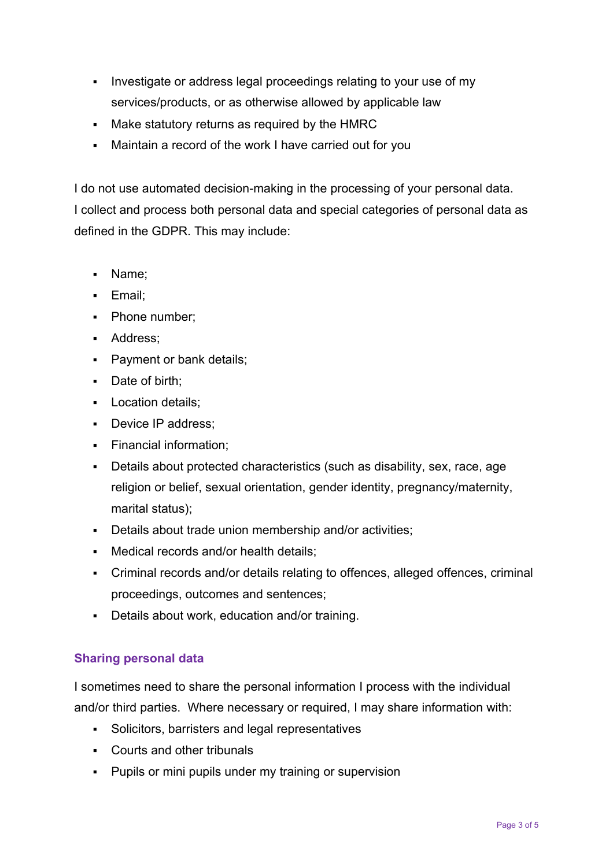- Investigate or address legal proceedings relating to your use of my services/products, or as otherwise allowed by applicable law
- Make statutory returns as required by the HMRC
- Maintain a record of the work I have carried out for you

I do not use automated decision-making in the processing of your personal data. I collect and process both personal data and special categories of personal data as defined in the GDPR. This may include:

- Name;
- **Email**;
- Phone number;
- **Address:**
- **Payment or bank details;**
- Date of birth:
- **Location details:**
- Device IP address:
- **Financial information;**
- Details about protected characteristics (such as disability, sex, race, age religion or belief, sexual orientation, gender identity, pregnancy/maternity, marital status);
- Details about trade union membership and/or activities;
- Medical records and/or health details:
- Criminal records and/or details relating to offences, alleged offences, criminal proceedings, outcomes and sentences;
- Details about work, education and/or training.

## **Sharing personal data**

I sometimes need to share the personal information I process with the individual and/or third parties. Where necessary or required, I may share information with:

- Solicitors, barristers and legal representatives
- Courts and other tribunals
- **Pupils or mini pupils under my training or supervision**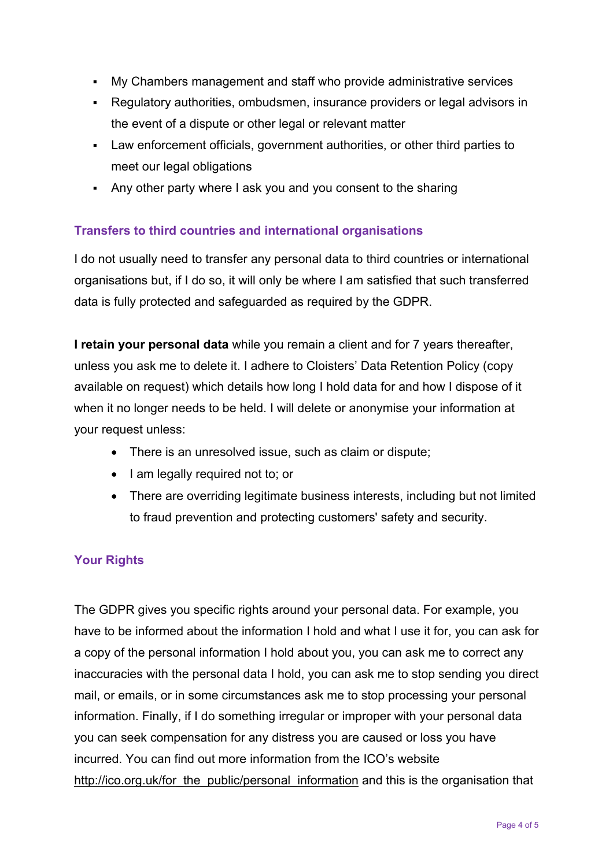- My Chambers management and staff who provide administrative services
- Regulatory authorities, ombudsmen, insurance providers or legal advisors in the event of a dispute or other legal or relevant matter
- Law enforcement officials, government authorities, or other third parties to meet our legal obligations
- Any other party where I ask you and you consent to the sharing

# **Transfers to third countries and international organisations**

I do not usually need to transfer any personal data to third countries or international organisations but, if I do so, it will only be where I am satisfied that such transferred data is fully protected and safeguarded as required by the GDPR.

**I retain your personal data** while you remain a client and for 7 years thereafter, unless you ask me to delete it. I adhere to Cloisters' Data Retention Policy (copy available on request) which details how long I hold data for and how I dispose of it when it no longer needs to be held. I will delete or anonymise your information at your request unless:

- There is an unresolved issue, such as claim or dispute;
- I am legally required not to; or
- There are overriding legitimate business interests, including but not limited to fraud prevention and protecting customers' safety and security.

# **Your Rights**

The GDPR gives you specific rights around your personal data. For example, you have to be informed about the information I hold and what I use it for, you can ask for a copy of the personal information I hold about you, you can ask me to correct any inaccuracies with the personal data I hold, you can ask me to stop sending you direct mail, or emails, or in some circumstances ask me to stop processing your personal information. Finally, if I do something irregular or improper with your personal data you can seek compensation for any distress you are caused or loss you have incurred. You can find out more information from the ICO's website http://ico.org.uk/for\_the\_public/personal\_information and this is the organisation that